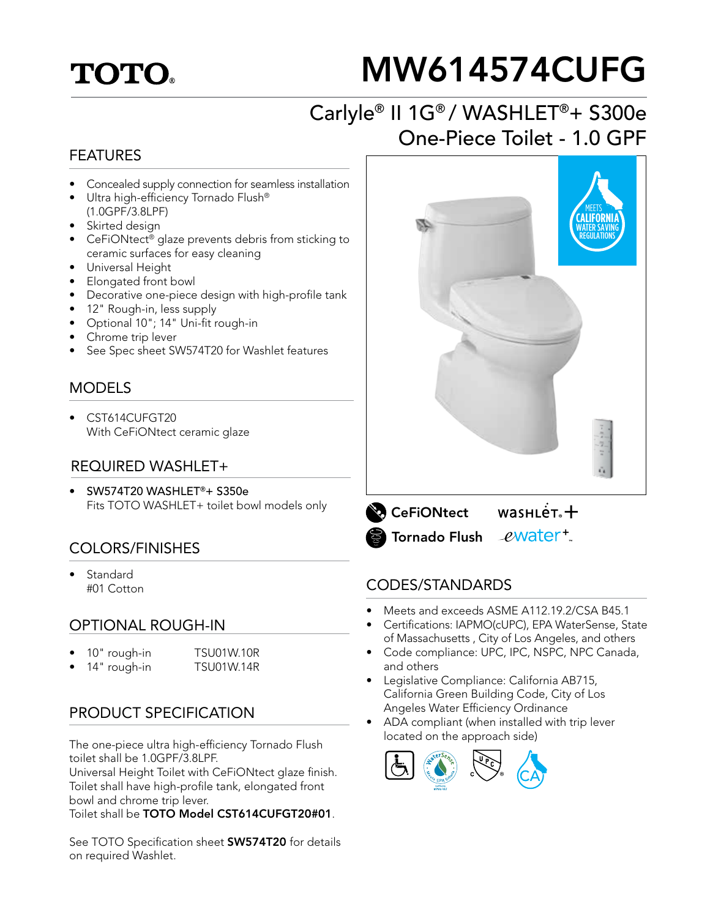## **TOTO.**

# MW614574CUFG

## Carlyle® II 1G® / WASHLET®+ S300e One-Piece Toilet - 1.0 GPF

#### FEATURES

- Concealed supply connection for seamless installation
- Ultra high-efficiency Tornado Flush® (1.0GPF/3.8LPF)
- Skirted design
- CeFiONtect® glaze prevents debris from sticking to ceramic surfaces for easy cleaning
- Universal Height
- Elongated front bowl
- Decorative one-piece design with high-profile tank
- 12" Rough-in, less supply
- Optional 10"; 14" Uni-fit rough-in
- Chrome trip lever
- See Spec sheet SW574T20 for Washlet features

#### **MODELS**

• CST614CUFGT20 With CeFiONtect ceramic glaze

#### REQUIRED WASHLET+

• SW574T20 WASHLET®+ S350e Fits TOTO WASHLET+ toilet bowl models only

#### COLORS/FINISHES

**Standard** #01 Cotton

#### OPTIONAL ROUGH-IN

- 10" rough-in TSU01W.10R
	- 14" rough-in TSU01W.14R

#### PRODUCT SPECIFICATION

The one-piece ultra high-efficiency Tornado Flush toilet shall be 1.0GPF/3.8LPF.

Universal Height Toilet with CeFiONtect glaze finish. Toilet shall have high-profile tank, elongated front bowl and chrome trip lever.

Toilet shall be TOTO Model CST614CUFGT20#01.

See TOTO Specification sheet **SW574T20** for details on required Washlet.





#### CODES/STANDARDS

- Meets and exceeds ASME A112.19.2/CSA B45.1
- Certifications: IAPMO(cUPC), EPA WaterSense, State of Massachusetts , City of Los Angeles, and others
- Code compliance: UPC, IPC, NSPC, NPC Canada, and others
- Legislative Compliance: California AB715, California Green Building Code, City of Los Angeles Water Efficiency Ordinance
- ADA compliant (when installed with trip lever located on the approach side)